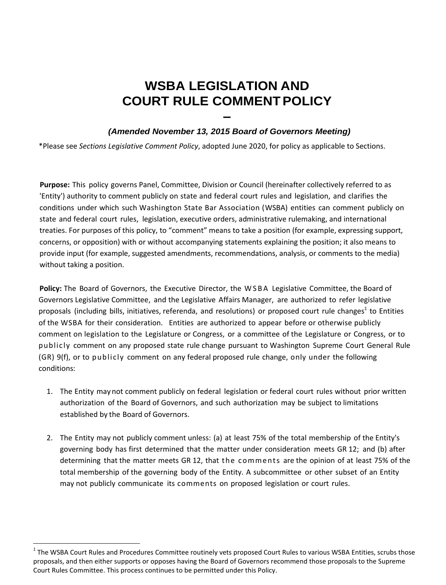## **WSBA LEGISLATION AND COURT RULE COMMENT POLICY**

## **–**   *(Amended November 13, 2015 Board of Governors Meeting)*

\*Please see *Sections Legislative Comment Policy*, adopted June 2020, for policy as applicable to Sections.

**Purpose:** This policy governs Panel, Committee, Division or Council (hereinafter collectively referred to as 'Entity') authority to comment publicly on state and federal court rules and legislation, and clarifies the conditions under which such Washington State Bar Association (WSBA) entities can comment publicly on state and federal court rules, legislation, executive orders, administrative rulemaking, and international treaties. For purposes of this policy, to "comment" means to take a position (for example, expressing support, concerns, or opposition) with or without accompanying statements explaining the position; it also means to provide input (for example, suggested amendments, recommendations, analysis, or comments to the media) without taking a position.

Policy: The Board of Governors, the Executive Director, the WSBA Legislative Committee, the Board of Governors Legislative Committee, and the Legislative Affairs Manager, are authorized to refer legislative proposals (including bills, initiatives, referenda, and resolutions) or proposed court rule changes<sup>1</sup> to Entities of the WSBA for their consideration. Entities are authorized to appear before or otherwise publicly comment on legislation to the Legislature or Congress, or a committee of the Legislature or Congress, or to publicly comment on any proposed state rule change pursuant to Washington Supreme Court General Rule (GR) 9(f), or to publicly comment on any federal proposed rule change, only under the following conditions:

- 1. The Entity may not comment publicly on federal legislation or federal court rules without prior written authorization of the Board of Governors, and such authorization may be subject to limitations established by the Board of Governors.
- 2. The Entity may not publicly comment unless: (a) at least 75% of the total membership of the Entity's governing body has first determined that the matter under consideration meets GR 12; and (b) after determining that the matter meets GR 12, that the com ments are the opinion of at least 75% of the total membership of the governing body of the Entity. A subcommittee or other subset of an Entity may not publicly communicate its comments on proposed legislation or court rules.

 $1$  The WSBA Court Rules and Procedures Committee routinely vets proposed Court Rules to various WSBA Entities, scrubs those proposals, and then either supports or opposes having the Board of Governors recommend those proposals to the Supreme Court Rules Committee. This process continues to be permitted under this Policy.